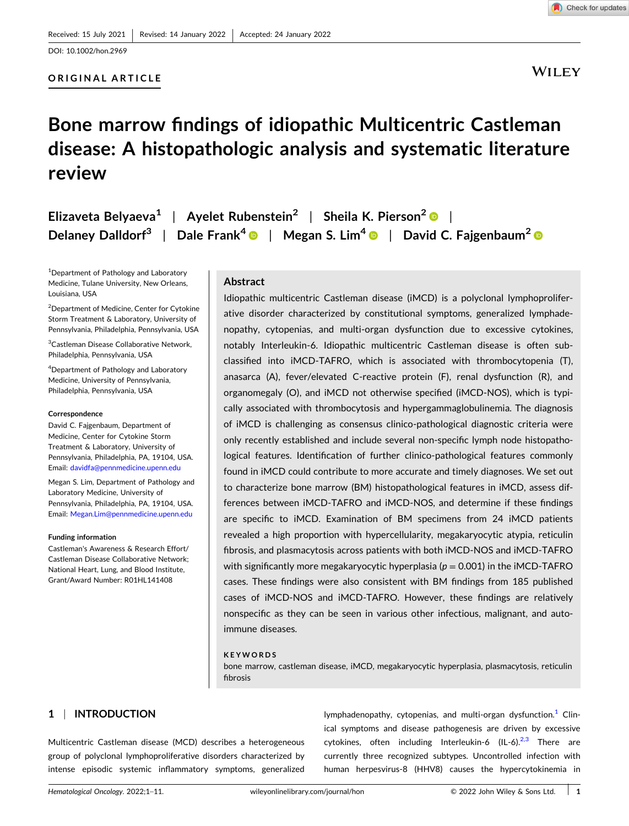### **ORIGINAL ARTICLE**

Check for updates

### **WILEY**

# **Bone marrow findings of idiopathic Multicentric Castleman disease: A histopathologic analysis and systematic literature review**

| Elizaveta Belyaeva <sup>1</sup>   Ayelet Rubenstein <sup>2</sup>   Sheila K. Pierson <sup>2</sup> ©                                                  |  |
|------------------------------------------------------------------------------------------------------------------------------------------------------|--|
| Delaney Dalldorf <sup>3</sup>   Dale Frank <sup>4</sup> $\bullet$   Megan S. Lim <sup>4</sup> $\bullet$   David C. Fajgenbaum <sup>2</sup> $\bullet$ |  |

1 Department of Pathology and Laboratory Medicine, Tulane University, New Orleans, Louisiana, USA

<sup>2</sup>Department of Medicine, Center for Cytokine Storm Treatment & Laboratory, University of Pennsylvania, Philadelphia, Pennsylvania, USA

3 Castleman Disease Collaborative Network, Philadelphia, Pennsylvania, USA

4 Department of Pathology and Laboratory Medicine, University of Pennsylvania, Philadelphia, Pennsylvania, USA

#### **Correspondence**

David C. Fajgenbaum, Department of Medicine, Center for Cytokine Storm Treatment & Laboratory, University of Pennsylvania, Philadelphia, PA, 19104, USA. Email: [davidfa@pennmedicine.upenn.edu](mailto:davidfa@pennmedicine.upenn.edu)

Megan S. Lim, Department of Pathology and Laboratory Medicine, University of Pennsylvania, Philadelphia, PA, 19104, USA. Email: [Megan.Lim@pennmedicine.upenn.edu](mailto:Megan.Lim@pennmedicine.upenn.edu)

#### **Funding information**

Castleman's Awareness & Research Effort/ Castleman Disease Collaborative Network; National Heart, Lung, and Blood Institute, Grant/Award Number: R01HL141408

### **Abstract**

Idiopathic multicentric Castleman disease (iMCD) is a polyclonal lymphoproliferative disorder characterized by constitutional symptoms, generalized lymphadenopathy, cytopenias, and multi‐organ dysfunction due to excessive cytokines, notably Interleukin-6. Idiopathic multicentric Castleman disease is often subclassified into iMCD‐TAFRO, which is associated with thrombocytopenia (T), anasarca (A), fever/elevated C-reactive protein (F), renal dysfunction (R), and organomegaly (O), and iMCD not otherwise specified (iMCD‐NOS), which is typically associated with thrombocytosis and hypergammaglobulinemia. The diagnosis of iMCD is challenging as consensus clinico‐pathological diagnostic criteria were only recently established and include several non‐specific lymph node histopathological features. Identification of further clinico‐pathological features commonly found in iMCD could contribute to more accurate and timely diagnoses. We set out to characterize bone marrow (BM) histopathological features in iMCD, assess differences between iMCD‐TAFRO and iMCD‐NOS, and determine if these findings are specific to iMCD. Examination of BM specimens from 24 iMCD patients revealed a high proportion with hypercellularity, megakaryocytic atypia, reticulin fibrosis, and plasmacytosis across patients with both iMCD‐NOS and iMCD‐TAFRO with significantly more megakaryocytic hyperplasia ( $p = 0.001$ ) in the iMCD-TAFRO cases. These findings were also consistent with BM findings from 185 published cases of iMCD‐NOS and iMCD‐TAFRO. However, these findings are relatively nonspecific as they can be seen in various other infectious, malignant, and autoimmune diseases.

#### **KEYWORDS**

bone marrow, castleman disease, iMCD, megakaryocytic hyperplasia, plasmacytosis, reticulin fibrosis

### **1** <sup>|</sup> **INTRODUCTION**

Multicentric Castleman disease (MCD) describes a heterogeneous group of polyclonal lymphoproliferative disorders characterized by intense episodic systemic inflammatory symptoms, generalized

lymphadenopathy, cytopenias, and multi-organ dysfunction.<sup>[1](#page-9-0)</sup> Clinical symptoms and disease pathogenesis are driven by excessive cytokines, often including Interleukin-6 (IL-6). $^{2,3}$  $^{2,3}$  $^{2,3}$  There are currently three recognized subtypes. Uncontrolled infection with human herpesvirus‐8 (HHV8) causes the hypercytokinemia in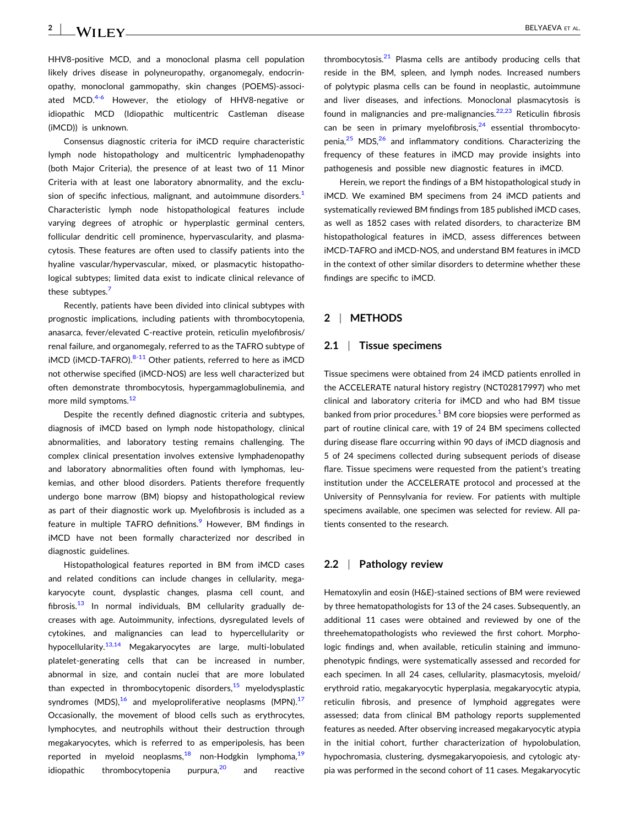HHV8‐positive MCD, and a monoclonal plasma cell population likely drives disease in polyneuropathy, organomegaly, endocrinopathy, monoclonal gammopathy, skin changes (POEMS)‐associated MCD. $4-6$  However, the etiology of HHV8-negative or idiopathic MCD (Idiopathic multicentric Castleman disease (iMCD)) is unknown.

Consensus diagnostic criteria for iMCD require characteristic lymph node histopathology and multicentric lymphadenopathy (both Major Criteria), the presence of at least two of 11 Minor Criteria with at least one laboratory abnormality, and the exclusion of specific infectious, malignant, and autoimmune disorders. $<sup>1</sup>$  $<sup>1</sup>$  $<sup>1</sup>$ </sup> Characteristic lymph node histopathological features include varying degrees of atrophic or hyperplastic germinal centers, follicular dendritic cell prominence, hypervascularity, and plasmacytosis. These features are often used to classify patients into the hyaline vascular/hypervascular, mixed, or plasmacytic histopathological subtypes; limited data exist to indicate clinical relevance of these subtypes.<sup>[7](#page-9-0)</sup>

Recently, patients have been divided into clinical subtypes with prognostic implications, including patients with thrombocytopenia, anasarca, fever/elevated C‐reactive protein, reticulin myelofibrosis/ renal failure, and organomegaly, referred to as the TAFRO subtype of  $iMCD$  ( $iMCD$ -TAFRO). $8-11$  $8-11$  Other patients, referred to here as  $iMCD$ not otherwise specified (iMCD‐NOS) are less well characterized but often demonstrate thrombocytosis, hypergammaglobulinemia, and more mild symptoms.<sup>[12](#page-9-0)</sup>

Despite the recently defined diagnostic criteria and subtypes, diagnosis of iMCD based on lymph node histopathology, clinical abnormalities, and laboratory testing remains challenging. The complex clinical presentation involves extensive lymphadenopathy and laboratory abnormalities often found with lymphomas, leukemias, and other blood disorders. Patients therefore frequently undergo bone marrow (BM) biopsy and histopathological review as part of their diagnostic work up. Myelofibrosis is included as a feature in multiple TAFRO definitions.<sup>[9](#page-9-0)</sup> However, BM findings in iMCD have not been formally characterized nor described in diagnostic guidelines.

Histopathological features reported in BM from iMCD cases and related conditions can include changes in cellularity, megakaryocyte count, dysplastic changes, plasma cell count, and fibrosis. $13$  In normal individuals, BM cellularity gradually decreases with age. Autoimmunity, infections, dysregulated levels of cytokines, and malignancies can lead to hypercellularity or hypocellularity.<sup>[13,14](#page-9-0)</sup> Megakaryocytes are large, multi-lobulated platelet‐generating cells that can be increased in number, abnormal in size, and contain nuclei that are more lobulated than expected in thrombocytopenic disorders, $15$  myelodysplastic syndromes (MDS), $16$  and myeloproliferative neoplasms (MPN). $17$ Occasionally, the movement of blood cells such as erythrocytes, lymphocytes, and neutrophils without their destruction through megakaryocytes, which is referred to as emperipolesis, has been reported in myeloid neoplasms,  $18$  non-Hodgkin lymphoma,  $19$ idiopathic thrombocytopenia purpura,<sup>[20](#page-9-0)</sup> and reactive

thrombocytosis. $21$  Plasma cells are antibody producing cells that reside in the BM, spleen, and lymph nodes. Increased numbers of polytypic plasma cells can be found in neoplastic, autoimmune and liver diseases, and infections. Monoclonal plasmacytosis is found in malignancies and pre-malignancies. $22,23$  Reticulin fibrosis can be seen in primary myelofibrosis, $24$  essential thrombocyto-penia.<sup>[25](#page-9-0)</sup> MDS, $26$  and inflammatory conditions. Characterizing the frequency of these features in iMCD may provide insights into pathogenesis and possible new diagnostic features in iMCD.

Herein, we report the findings of a BM histopathological study in iMCD. We examined BM specimens from 24 iMCD patients and systematically reviewed BM findings from 185 published iMCD cases, as well as 1852 cases with related disorders, to characterize BM histopathological features in iMCD, assess differences between iMCD‐TAFRO and iMCD‐NOS, and understand BM features in iMCD in the context of other similar disorders to determine whether these findings are specific to iMCD.

### **2** <sup>|</sup> **METHODS**

#### **2.1** <sup>|</sup> **Tissue specimens**

Tissue specimens were obtained from 24 iMCD patients enrolled in the ACCELERATE natural history registry (NCT02817997) who met clinical and laboratory criteria for iMCD and who had BM tissue banked from prior procedures. $1$  BM core biopsies were performed as part of routine clinical care, with 19 of 24 BM specimens collected during disease flare occurring within 90 days of iMCD diagnosis and 5 of 24 specimens collected during subsequent periods of disease flare. Tissue specimens were requested from the patient's treating institution under the ACCELERATE protocol and processed at the University of Pennsylvania for review. For patients with multiple specimens available, one specimen was selected for review. All patients consented to the research.

### **2.2** <sup>|</sup> **Pathology review**

Hematoxylin and eosin (H&E)‐stained sections of BM were reviewed by three hematopathologists for 13 of the 24 cases. Subsequently, an additional 11 cases were obtained and reviewed by one of the threehematopathologists who reviewed the first cohort. Morphologic findings and, when available, reticulin staining and immunophenotypic findings, were systematically assessed and recorded for each specimen. In all 24 cases, cellularity, plasmacytosis, myeloid/ erythroid ratio, megakaryocytic hyperplasia, megakaryocytic atypia, reticulin fibrosis, and presence of lymphoid aggregates were assessed; data from clinical BM pathology reports supplemented features as needed. After observing increased megakaryocytic atypia in the initial cohort, further characterization of hypolobulation, hypochromasia, clustering, dysmegakaryopoiesis, and cytologic atypia was performed in the second cohort of 11 cases. Megakaryocytic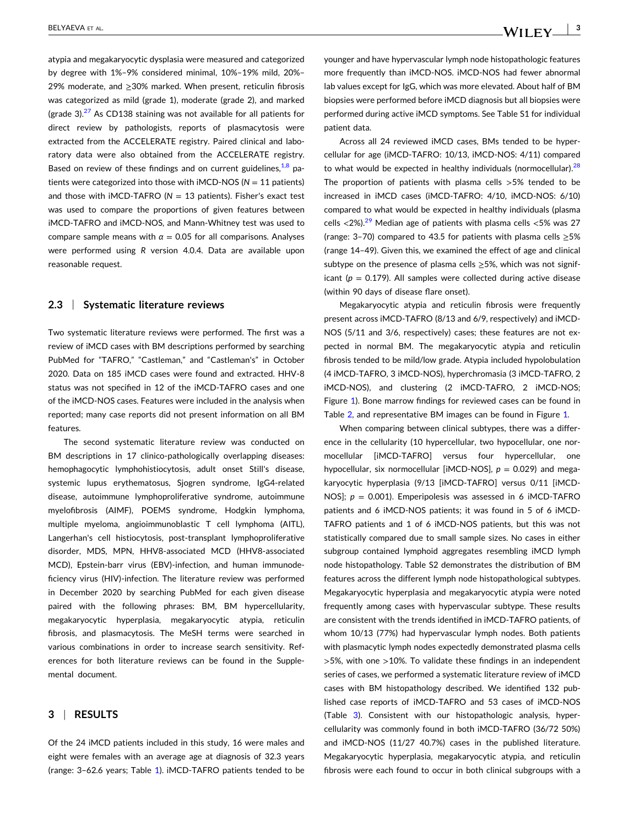atypia and megakaryocytic dysplasia were measured and categorized by degree with 1%–9% considered minimal, 10%–19% mild, 20%– 29% moderate, and ≥30% marked. When present, reticulin fibrosis was categorized as mild (grade 1), moderate (grade 2), and marked (grade 3). $^{27}$  $^{27}$  $^{27}$  As CD138 staining was not available for all patients for direct review by pathologists, reports of plasmacytosis were extracted from the ACCELERATE registry. Paired clinical and laboratory data were also obtained from the ACCELERATE registry. Based on review of these findings and on current guidelines,  $1,8$  patients were categorized into those with iMCD‐NOS (*N* = 11 patients) and those with  $IMCD-TAFRO$  ( $N = 13$  patients). Fisher's exact test was used to compare the proportions of given features between iMCD‐TAFRO and iMCD‐NOS, and Mann‐Whitney test was used to compare sample means with  $\alpha = 0.05$  for all comparisons. Analyses were performed using *R* version 4.0.4. Data are available upon reasonable request.

### **2.3** <sup>|</sup> **Systematic literature reviews**

Two systematic literature reviews were performed. The first was a review of iMCD cases with BM descriptions performed by searching PubMed for "TAFRO," "Castleman," and "Castleman's" in October 2020. Data on 185 iMCD cases were found and extracted. HHV‐8 status was not specified in 12 of the iMCD‐TAFRO cases and one of the iMCD‐NOS cases. Features were included in the analysis when reported; many case reports did not present information on all BM features.

The second systematic literature review was conducted on BM descriptions in 17 clinico-pathologically overlapping diseases: hemophagocytic lymphohistiocytosis, adult onset Still's disease, systemic lupus erythematosus, Sjogren syndrome, IgG4‐related disease, autoimmune lymphoproliferative syndrome, autoimmune myelofibrosis (AIMF), POEMS syndrome, Hodgkin lymphoma, multiple myeloma, angioimmunoblastic T cell lymphoma (AITL), Langerhan's cell histiocytosis, post-transplant lymphoproliferative disorder, MDS, MPN, HHV8‐associated MCD (HHV8‐associated MCD), Epstein‐barr virus (EBV)‐infection, and human immunodeficiency virus (HIV)‐infection. The literature review was performed in December 2020 by searching PubMed for each given disease paired with the following phrases: BM, BM hypercellularity, megakaryocytic hyperplasia, megakaryocytic atypia, reticulin fibrosis, and plasmacytosis. The MeSH terms were searched in various combinations in order to increase search sensitivity. References for both literature reviews can be found in the Supplemental document.

### **3** <sup>|</sup> **RESULTS**

Of the 24 iMCD patients included in this study, 16 were males and eight were females with an average age at diagnosis of 32.3 years (range: 3–62.6 years; Table [1](#page-3-0)). iMCD‐TAFRO patients tended to be

younger and have hypervascular lymph node histopathologic features more frequently than iMCD‐NOS. iMCD‐NOS had fewer abnormal lab values except for IgG, which was more elevated. About half of BM biopsies were performed before iMCD diagnosis but all biopsies were performed during active iMCD symptoms. See Table S1 for individual patient data.

Across all 24 reviewed iMCD cases, BMs tended to be hypercellular for age (iMCD‐TAFRO: 10/13, iMCD‐NOS: 4/11) compared to what would be expected in healthy individuals (normocellular). $28$ The proportion of patients with plasma cells >5% tended to be increased in iMCD cases (iMCD‐TAFRO: 4/10, iMCD‐NOS: 6/10) compared to what would be expected in healthy individuals (plasma cells  $\langle 2\% \rangle$ .<sup>[29](#page-10-0)</sup> Median age of patients with plasma cells  $\langle 5\% \rangle$  was 27 (range: 3–70) compared to 43.5 for patients with plasma cells  $\geq$ 5% (range 14–49). Given this, we examined the effect of age and clinical subtype on the presence of plasma cells  $\geq$ 5%, which was not significant ( $p = 0.179$ ). All samples were collected during active disease (within 90 days of disease flare onset).

Megakaryocytic atypia and reticulin fibrosis were frequently present across iMCD‐TAFRO (8/13 and 6/9, respectively) and iMCD‐ NOS (5/11 and 3/6, respectively) cases; these features are not expected in normal BM. The megakaryocytic atypia and reticulin fibrosis tended to be mild/low grade. Atypia included hypolobulation (4 iMCD‐TAFRO, 3 iMCD‐NOS), hyperchromasia (3 iMCD‐TAFRO, 2 iMCD‐NOS), and clustering (2 iMCD‐TAFRO, 2 iMCD‐NOS; Figure [1\)](#page-4-0). Bone marrow findings for reviewed cases can be found in Table [2,](#page-5-0) and representative BM images can be found in Figure [1.](#page-4-0)

When comparing between clinical subtypes, there was a difference in the cellularity (10 hypercellular, two hypocellular, one normocellular [iMCD‐TAFRO] versus four hypercellular, one hypocellular, six normocellular [iMCD-NOS],  $p = 0.029$ ) and megakaryocytic hyperplasia (9/13 [iMCD-TAFRO] versus 0/11 [iMCD-NOS];  $p = 0.001$ ). Emperipolesis was assessed in 6 iMCD-TAFRO patients and 6 iMCD-NOS patients; it was found in 5 of 6 iMCD-TAFRO patients and 1 of 6 iMCD‐NOS patients, but this was not statistically compared due to small sample sizes. No cases in either subgroup contained lymphoid aggregates resembling iMCD lymph node histopathology. Table S2 demonstrates the distribution of BM features across the different lymph node histopathological subtypes. Megakaryocytic hyperplasia and megakaryocytic atypia were noted frequently among cases with hypervascular subtype. These results are consistent with the trends identified in iMCD‐TAFRO patients, of whom 10/13 (77%) had hypervascular lymph nodes. Both patients with plasmacytic lymph nodes expectedly demonstrated plasma cells  $>5%$ , with one  $>10%$ . To validate these findings in an independent series of cases, we performed a systematic literature review of iMCD cases with BM histopathology described. We identified 132 published case reports of iMCD‐TAFRO and 53 cases of iMCD‐NOS (Table [3](#page-7-0)). Consistent with our histopathologic analysis, hypercellularity was commonly found in both iMCD‐TAFRO (36/72 50%) and iMCD‐NOS (11/27 40.7%) cases in the published literature. Megakaryocytic hyperplasia, megakaryocytic atypia, and reticulin fibrosis were each found to occur in both clinical subgroups with a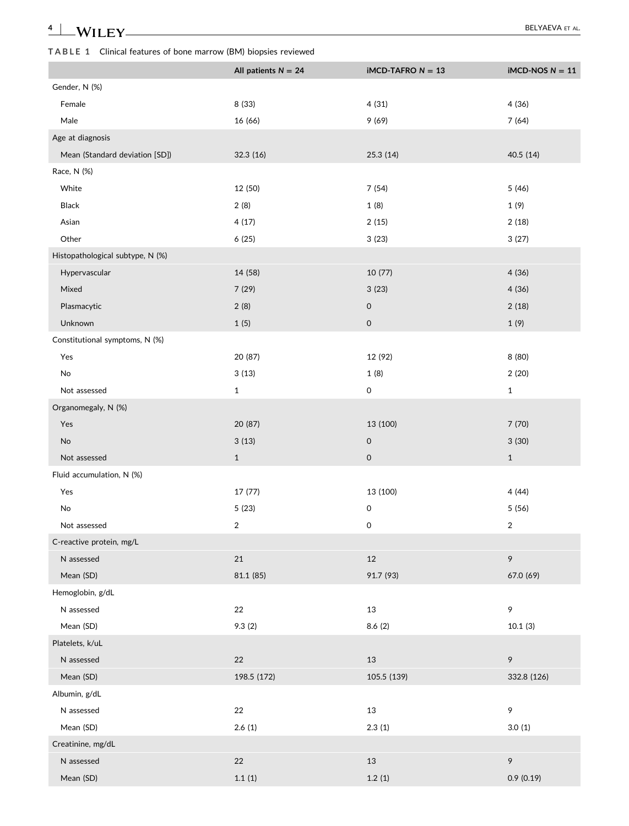## <span id="page-3-0"></span>**TABLE 1** Clinical features of bone marrow (BM) biopsies reviewed

|                                  | All patients $N = 24$   | <b>iMCD-TAFRO <math>N = 13</math></b> | $IMCD-NOS N = 11$ |
|----------------------------------|-------------------------|---------------------------------------|-------------------|
| Gender, N (%)                    |                         |                                       |                   |
| Female                           | 8 (33)                  | 4(31)                                 | 4(36)             |
| Male                             | 16 (66)                 | 9(69)                                 | 7(64)             |
| Age at diagnosis                 |                         |                                       |                   |
| Mean (Standard deviation [SD])   | 32.3 (16)               | 25.3 (14)                             | 40.5 (14)         |
| Race, N (%)                      |                         |                                       |                   |
| White                            | 12 (50)                 | 7(54)                                 | 5(46)             |
| Black                            | 2(8)                    | 1(8)                                  | 1(9)              |
| Asian                            | 4(17)                   | 2(15)                                 | 2(18)             |
| Other                            | 6(25)                   | 3(23)                                 | 3(27)             |
| Histopathological subtype, N (%) |                         |                                       |                   |
| Hypervascular                    | 14 (58)                 | 10 (77)                               | 4(36)             |
| Mixed                            | 7(29)                   | 3(23)                                 | 4(36)             |
| Plasmacytic                      | 2(8)                    | $\mathsf{O}\xspace$                   | 2(18)             |
| Unknown                          | 1(5)                    | $\mathsf{O}\xspace$                   | 1(9)              |
| Constitutional symptoms, N (%)   |                         |                                       |                   |
| Yes                              | 20 (87)                 | 12 (92)                               | 8 (80)            |
| No                               | 3(13)                   | 1(8)                                  | 2(20)             |
| Not assessed                     | $\mathbf{1}$            | $\mathsf{O}\xspace$                   | $\mathbf{1}$      |
| Organomegaly, N (%)              |                         |                                       |                   |
| Yes                              | 20 (87)                 | 13 (100)                              | 7(70)             |
| No                               | 3(13)                   | $\mathsf{O}\xspace$                   | 3(30)             |
| Not assessed                     | $\mathbf{1}$            | $\mathsf O$                           | $\mathbf 1$       |
| Fluid accumulation, N (%)        |                         |                                       |                   |
| Yes                              | 17 (77)                 | 13 (100)                              | 4(44)             |
| No                               | 5(23)                   | $\mathsf{O}$                          | 5 (56)            |
| Not assessed                     | $\overline{\mathbf{c}}$ | 0                                     | $\overline{c}$    |
| C-reactive protein, mg/L         |                         |                                       |                   |
| N assessed                       | $21\,$                  | $12\,$                                | 9                 |
| Mean (SD)                        | 81.1 (85)               | 91.7 (93)                             | 67.0 (69)         |
| Hemoglobin, g/dL                 |                         |                                       |                   |
| N assessed                       | 22                      | 13                                    | 9                 |
| Mean (SD)                        | 9.3(2)                  | 8.6(2)                                | 10.1(3)           |
| Platelets, k/uL                  |                         |                                       |                   |
| N assessed                       | $22\,$                  | $13\,$                                | 9                 |
| Mean (SD)                        | 198.5 (172)             | 105.5 (139)                           | 332.8 (126)       |
| Albumin, g/dL                    |                         |                                       |                   |
| N assessed                       | 22                      | 13                                    | 9                 |
| Mean (SD)                        | 2.6(1)                  | 2.3(1)                                | 3.0(1)            |
| Creatinine, mg/dL                |                         |                                       |                   |
| N assessed                       | $22\,$                  | 13                                    | 9                 |
| Mean (SD)                        | 1.1(1)                  | 1.2(1)                                | 0.9(0.19)         |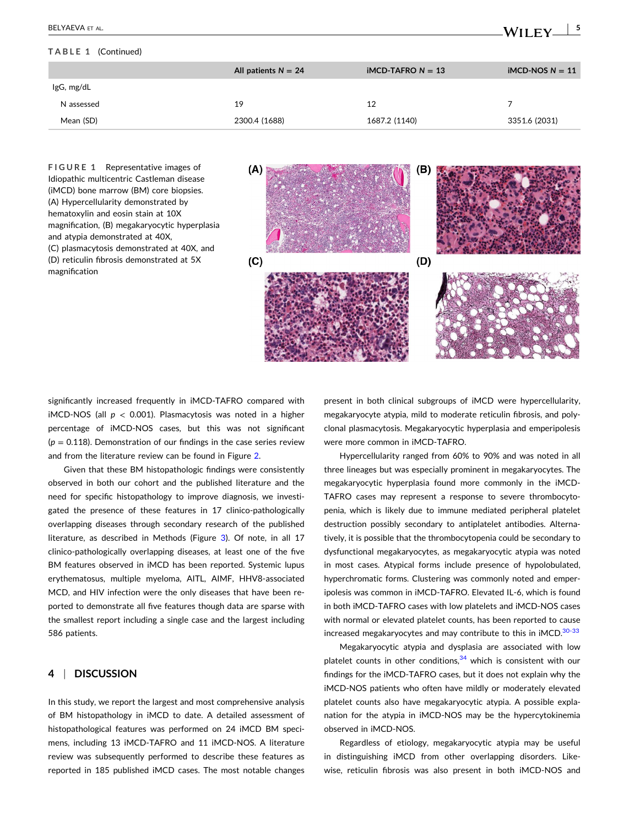#### <span id="page-4-0"></span>**TABLE 1** (Continued)

|            | All patients $N = 24$ | $IMCD-TAFRO N = 13$ | $IMCD-NOS N = 11$ |
|------------|-----------------------|---------------------|-------------------|
| IgG, mg/dL |                       |                     |                   |
| N assessed | 19                    | 12                  |                   |
| Mean (SD)  | 2300.4 (1688)         | 1687.2 (1140)       | 3351.6 (2031)     |

**FIGURE 1** Representative images of Idiopathic multicentric Castleman disease (iMCD) bone marrow (BM) core biopsies. (A) Hypercellularity demonstrated by hematoxylin and eosin stain at 10X magnification, (B) megakaryocytic hyperplasia and atypia demonstrated at 40X, (C) plasmacytosis demonstrated at 40X, and (D) reticulin fibrosis demonstrated at 5X magnification



significantly increased frequently in iMCD‐TAFRO compared with iMCD‐NOS (all *p* < 0.001). Plasmacytosis was noted in a higher percentage of iMCD‐NOS cases, but this was not significant  $(p = 0.118)$ . Demonstration of our findings in the case series review and from the literature review can be found in Figure [2](#page-7-0).

Given that these BM histopathologic findings were consistently observed in both our cohort and the published literature and the need for specific histopathology to improve diagnosis, we investigated the presence of these features in 17 clinico‐pathologically overlapping diseases through secondary research of the published literature, as described in Methods (Figure [3\)](#page-8-0). Of note, in all 17 clinico-pathologically overlapping diseases, at least one of the five BM features observed in iMCD has been reported. Systemic lupus erythematosus, multiple myeloma, AITL, AIMF, HHV8‐associated MCD, and HIV infection were the only diseases that have been reported to demonstrate all five features though data are sparse with the smallest report including a single case and the largest including 586 patients.

### **4** <sup>|</sup> **DISCUSSION**

In this study, we report the largest and most comprehensive analysis of BM histopathology in iMCD to date. A detailed assessment of histopathological features was performed on 24 iMCD BM specimens, including 13 iMCD‐TAFRO and 11 iMCD‐NOS. A literature review was subsequently performed to describe these features as reported in 185 published iMCD cases. The most notable changes present in both clinical subgroups of iMCD were hypercellularity, megakaryocyte atypia, mild to moderate reticulin fibrosis, and polyclonal plasmacytosis. Megakaryocytic hyperplasia and emperipolesis were more common in iMCD‐TAFRO.

Hypercellularity ranged from 60% to 90% and was noted in all three lineages but was especially prominent in megakaryocytes. The megakaryocytic hyperplasia found more commonly in the iMCD‐ TAFRO cases may represent a response to severe thrombocytopenia, which is likely due to immune mediated peripheral platelet destruction possibly secondary to antiplatelet antibodies. Alternatively, it is possible that the thrombocytopenia could be secondary to dysfunctional megakaryocytes, as megakaryocytic atypia was noted in most cases. Atypical forms include presence of hypolobulated, hyperchromatic forms. Clustering was commonly noted and emperipolesis was common in iMCD‐TAFRO. Elevated IL‐6, which is found in both iMCD‐TAFRO cases with low platelets and iMCD‐NOS cases with normal or elevated platelet counts, has been reported to cause increased megakaryocytes and may contribute to this in iMCD.<sup>[30](#page-10-0)-33</sup>

Megakaryocytic atypia and dysplasia are associated with low platelet counts in other conditions, $34$  which is consistent with our findings for the iMCD‐TAFRO cases, but it does not explain why the iMCD‐NOS patients who often have mildly or moderately elevated platelet counts also have megakaryocytic atypia. A possible explanation for the atypia in iMCD‐NOS may be the hypercytokinemia observed in iMCD‐NOS.

Regardless of etiology, megakaryocytic atypia may be useful in distinguishing iMCD from other overlapping disorders. Likewise, reticulin fibrosis was also present in both iMCD‐NOS and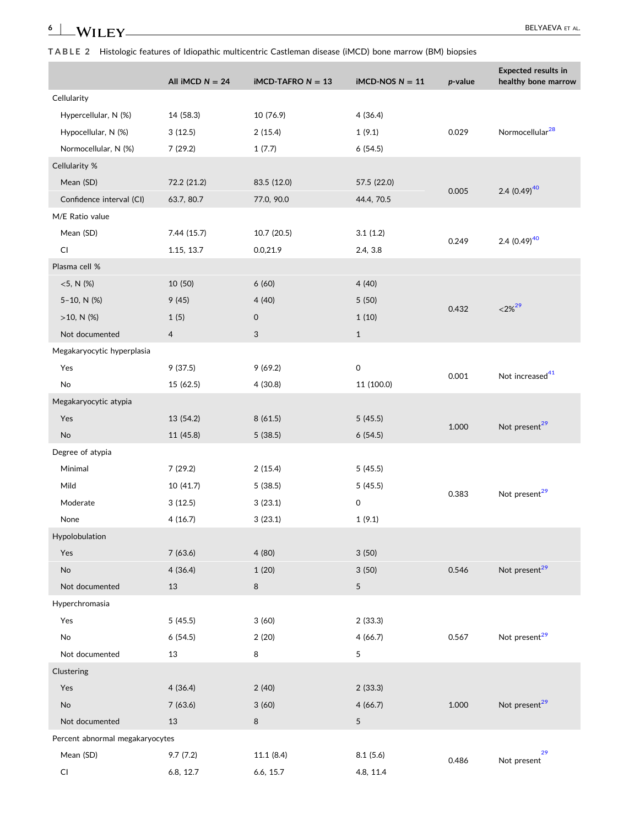<span id="page-5-0"></span>**TABLE 2** Histologic features of Idiopathic multicentric Castleman disease (iMCD) bone marrow (BM) biopsies

|                                 | All iMCD $N = 24$ | $iMCD-TAFRO N = 13$ | $IMCD-NOS N = 11$ | $p$ -value | <b>Expected results in</b><br>healthy bone marrow |
|---------------------------------|-------------------|---------------------|-------------------|------------|---------------------------------------------------|
| Cellularity                     |                   |                     |                   |            |                                                   |
| Hypercellular, N (%)            | 14 (58.3)         | 10 (76.9)           | 4(36.4)           |            |                                                   |
| Hypocellular, N (%)             | 3(12.5)           | 2(15.4)             | 1(9.1)            | 0.029      | Normocellular <sup>28</sup>                       |
| Normocellular, N (%)            | 7(29.2)           | 1(7.7)              | 6(54.5)           |            |                                                   |
| Cellularity %                   |                   |                     |                   |            |                                                   |
| Mean (SD)                       | 72.2 (21.2)       | 83.5 (12.0)         | 57.5 (22.0)       | 0.005      | 2.4 $(0.49)^{40}$                                 |
| Confidence interval (CI)        | 63.7, 80.7        | 77.0, 90.0          | 44.4, 70.5        |            |                                                   |
| M/E Ratio value                 |                   |                     |                   |            |                                                   |
| Mean (SD)                       | 7.44 (15.7)       | 10.7 (20.5)         | 3.1(1.2)          | 0.249      | 2.4 $(0.49)^{40}$                                 |
| CI                              | 1.15, 13.7        | 0.0,21.9            | 2.4, 3.8          |            |                                                   |
| Plasma cell %                   |                   |                     |                   |            |                                                   |
| $<5$ , N (%)                    | 10 (50)           | 6(60)               | 4(40)             |            |                                                   |
| 5-10, N (%)                     | 9(45)             | 4(40)               | 5 (50)            | 0.432      | $<$ 2% <sup>29</sup>                              |
| $>10$ , N (%)                   | 1(5)              | 0                   | 1(10)             |            |                                                   |
| Not documented                  | $\overline{4}$    | 3                   | $\,1\,$           |            |                                                   |
| Megakaryocytic hyperplasia      |                   |                     |                   |            |                                                   |
| Yes                             | 9(37.5)           | 9(69.2)             | 0                 | 0.001      | Not increased <sup>41</sup>                       |
| No                              | 15 (62.5)         | 4 (30.8)            | 11 (100.0)        |            |                                                   |
| Megakaryocytic atypia           |                   |                     |                   |            |                                                   |
| Yes                             | 13 (54.2)         | 8(61.5)             | 5(45.5)           | 1.000      | Not present <sup>29</sup>                         |
| <b>No</b>                       | 11 (45.8)         | 5(38.5)             | 6(54.5)           |            |                                                   |
| Degree of atypia                |                   |                     |                   |            |                                                   |
| Minimal                         | 7(29.2)           | 2(15.4)             | 5(45.5)           |            |                                                   |
| Mild                            | 10 (41.7)         | 5(38.5)             | 5(45.5)           | 0.383      | Not present <sup>29</sup>                         |
| Moderate                        | 3(12.5)           | 3(23.1)             | 0                 |            |                                                   |
| None                            | 4(16.7)           | 3(23.1)             | 1(9.1)            |            |                                                   |
| Hypolobulation                  |                   |                     |                   |            |                                                   |
| Yes                             | 7(63.6)           | 4(80)               | 3(50)             |            |                                                   |
| No                              | 4(36.4)           | 1(20)               | 3(50)             | 0.546      | Not present <sup>29</sup>                         |
| Not documented                  | 13                | 8                   | 5                 |            |                                                   |
| Hyperchromasia                  |                   |                     |                   |            |                                                   |
| Yes                             | 5(45.5)           | 3(60)               | 2(33.3)           |            |                                                   |
| No                              | 6(54.5)           | 2(20)               | 4(66.7)           | 0.567      | Not present <sup>29</sup>                         |
| Not documented                  | 13                | 8                   | 5                 |            |                                                   |
| Clustering                      |                   |                     |                   |            |                                                   |
| Yes                             | 4(36.4)           | 2(40)               | 2(33.3)           |            |                                                   |
| No                              | 7(63.6)           | 3(60)               | 4(66.7)           | 1.000      | Not present <sup>29</sup>                         |
| Not documented                  | 13                | 8                   | 5                 |            |                                                   |
| Percent abnormal megakaryocytes |                   |                     |                   |            |                                                   |
| Mean (SD)                       | 9.7(7.2)          | 11.1 (8.4)          | 8.1(5.6)          | 0.486      | 29<br>Not present                                 |
| CI                              | 6.8, 12.7         | 6.6, 15.7           | 4.8, 11.4         |            |                                                   |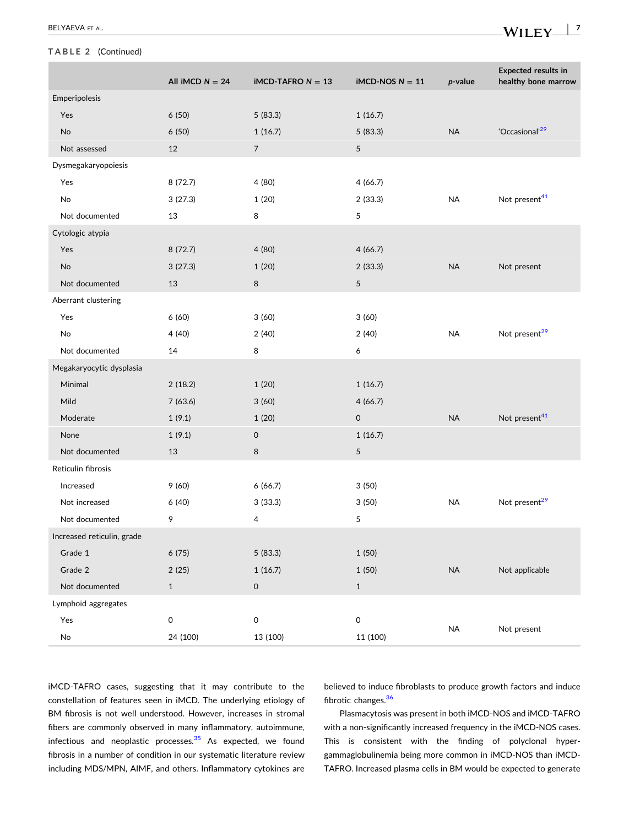#### **TABLE 2** (Continued)

|                              | All iMCD $N = 24$   | <b>iMCD-TAFRO <math>N = 13</math></b> | $IMCD-NOS N = 11$   | $p$ -value | <b>Expected results in</b><br>healthy bone marrow |
|------------------------------|---------------------|---------------------------------------|---------------------|------------|---------------------------------------------------|
| Emperipolesis                |                     |                                       |                     |            |                                                   |
| Yes                          | 6(50)               | 5(83.3)                               | 1(16.7)             |            |                                                   |
| No                           | 6(50)               | 1(16.7)                               | 5(83.3)             | <b>NA</b>  | 'Occasional' <sup>29</sup>                        |
| Not assessed                 | 12                  | $\overline{7}$                        | 5                   |            |                                                   |
| Dysmegakaryopoiesis          |                     |                                       |                     |            |                                                   |
| Yes                          | 8(72.7)             | 4 (80)                                | 4(66.7)             |            |                                                   |
| No                           | 3(27.3)             | 1(20)                                 | 2(33.3)             | <b>NA</b>  | Not present <sup>41</sup>                         |
| Not documented               | 13                  | 8                                     | 5                   |            |                                                   |
| Cytologic atypia             |                     |                                       |                     |            |                                                   |
| Yes                          | 8(72.7)             | 4 (80)                                | 4(66.7)             |            |                                                   |
| No                           | 3(27.3)             | 1(20)                                 | 2(33.3)             | <b>NA</b>  | Not present                                       |
| Not documented               | 13                  | 8                                     | 5                   |            |                                                   |
| Aberrant clustering          |                     |                                       |                     |            |                                                   |
| Yes                          | 6(60)               | 3(60)                                 | 3(60)               |            |                                                   |
| No                           | 4(40)               | 2(40)                                 | 2(40)               | <b>NA</b>  | Not present <sup>29</sup>                         |
| Not documented               | 14                  | 8                                     | 6                   |            |                                                   |
| Megakaryocytic dysplasia     |                     |                                       |                     |            |                                                   |
| Minimal                      | 2(18.2)             | 1(20)                                 | 1(16.7)             |            |                                                   |
| Mild                         | 7(63.6)             | 3(60)                                 | 4(66.7)             |            |                                                   |
| Moderate                     | 1(9.1)              | 1(20)                                 | 0                   | <b>NA</b>  | Not present <sup>41</sup>                         |
| None                         | 1(9.1)              | $\mathsf{O}$                          | 1(16.7)             |            |                                                   |
| Not documented               | 13                  | 8                                     | 5                   |            |                                                   |
| Reticulin fibrosis           |                     |                                       |                     |            |                                                   |
| Increased                    | 9(60)               | 6(66.7)                               | 3(50)               |            |                                                   |
| Not increased                | 6(40)               | 3(33.3)                               | 3(50)               | <b>NA</b>  | Not present <sup>29</sup>                         |
| Not documented               | 9                   | 4                                     | 5                   |            |                                                   |
| Increased reticulin, grade   |                     |                                       |                     |            |                                                   |
| Grade 1                      | 6(75)               | 5(83.3)                               | 1(50)               |            |                                                   |
| Grade 2                      | 2(25)               | 1(16.7)                               | 1(50)               | $\sf NA$   | Not applicable                                    |
| Not documented               | $\mathbf{1}$        | $\mathsf{O}\xspace$                   | $\mathbf{1}$        |            |                                                   |
| Lymphoid aggregates          |                     |                                       |                     |            |                                                   |
| Yes                          | $\mathsf{O}\xspace$ | 0                                     | $\mathsf{O}\xspace$ | $\sf NA$   | Not present                                       |
| $\operatorname{\mathsf{No}}$ | 24 (100)            | 13 (100)                              | 11 (100)            |            |                                                   |

iMCD‐TAFRO cases, suggesting that it may contribute to the constellation of features seen in iMCD. The underlying etiology of BM fibrosis is not well understood. However, increases in stromal fibers are commonly observed in many inflammatory, autoimmune, infectious and neoplastic processes. $35$  As expected, we found fibrosis in a number of condition in our systematic literature review including MDS/MPN, AIMF, and others. Inflammatory cytokines are believed to induce fibroblasts to produce growth factors and induce fibrotic changes.<sup>[36](#page-10-0)</sup>

Plasmacytosis was present in both iMCD‐NOS and iMCD‐TAFRO with a non-significantly increased frequency in the iMCD-NOS cases. This is consistent with the finding of polyclonal hypergammaglobulinemia being more common in iMCD‐NOS than iMCD‐ TAFRO. Increased plasma cells in BM would be expected to generate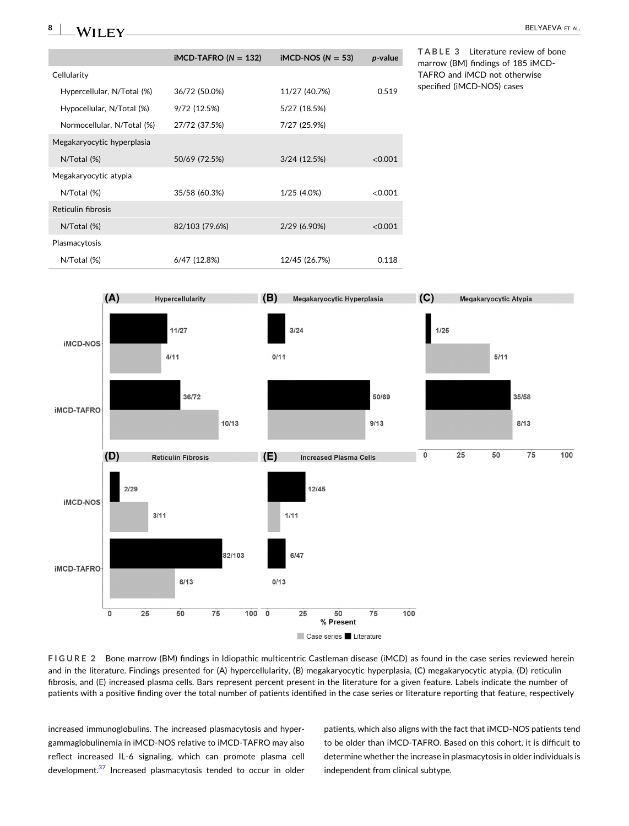<span id="page-7-0"></span>**8**  $-$  BELYAEVA ET AL.

|                            | $IMCD-TAFRO (N = 132)$ | iMCD-NOS ( $N = 53$ ) | p-value |
|----------------------------|------------------------|-----------------------|---------|
| Cellularity                |                        |                       |         |
| Hypercellular, N/Total (%) | 36/72 (50.0%)          | 11/27 (40.7%)         | 0.519   |
| Hypocellular, N/Total (%)  | 9/72 (12.5%)           | 5/27 (18.5%)          |         |
| Normocellular, N/Total (%) | 27/72 (37.5%)          | 7/27 (25.9%)          |         |
| Megakaryocytic hyperplasia |                        |                       |         |
| $N/T$ otal $(\%)$          | 50/69 (72.5%)          | 3/24 (12.5%)          | < 0.001 |
| Megakaryocytic atypia      |                        |                       |         |
| N/Total (%)                | 35/58 (60.3%)          | 1/25 (4.0%)           | < 0.001 |
| Reticulin fibrosis         |                        |                       |         |
| $N/T$ otal $(\%)$          | 82/103 (79.6%)         | 2/29 (6.90%)          | < 0.001 |
| Plasmacytosis              |                        |                       |         |
| $N/T$ otal $(\%)$          | 6/47 (12.8%)           | 12/45 (26.7%)         | 0.118   |

**TABLE 3** Literature review of bone marrow (BM) findings of 185 iMCD‐ TAFRO and iMCD not otherwise specified (iMCD‐NOS) cases



**FIGURE 2** Bone marrow (BM) findings in Idiopathic multicentric Castleman disease (iMCD) as found in the case series reviewed herein and in the literature. Findings presented for (A) hypercellularity, (B) megakaryocytic hyperplasia, (C) megakaryocytic atypia, (D) reticulin fibrosis, and (E) increased plasma cells. Bars represent percent present in the literature for a given feature. Labels indicate the number of patients with a positive finding over the total number of patients identified in the case series or literature reporting that feature, respectively

increased immunoglobulins. The increased plasmacytosis and hypergammaglobulinemia in iMCD‐NOS relative to iMCD‐TAFRO may also reflect increased IL‐6 signaling, which can promote plasma cell development.<sup>37</sup> Increased plasmacytosis tended to occur in older

patients, which also aligns with the fact that iMCD‐NOS patients tend to be older than iMCD‐TAFRO. Based on this cohort, it is difficult to determine whether the increase in plasmacytosis in older individuals is independent from clinical subtype.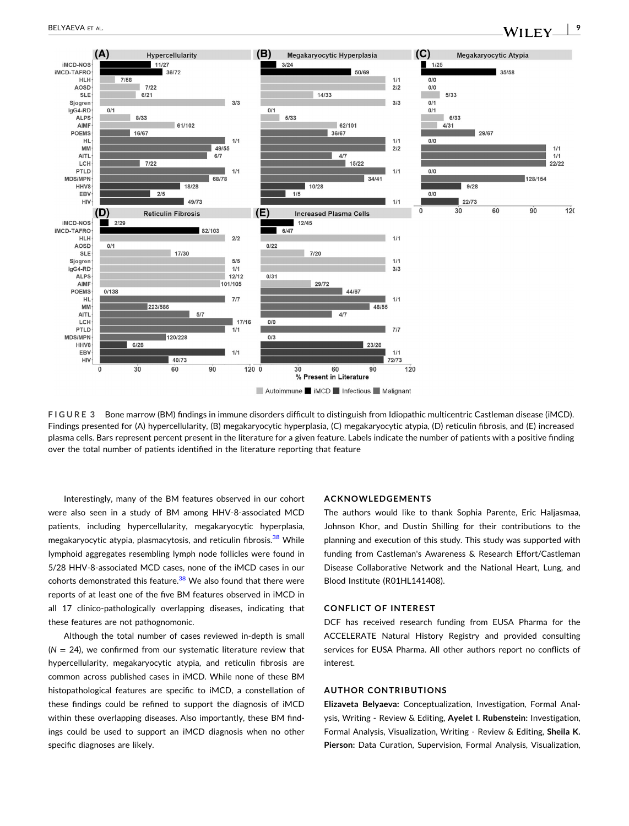<span id="page-8-0"></span>

**FIGURE 3** Bone marrow (BM) findings in immune disorders difficult to distinguish from Idiopathic multicentric Castleman disease (iMCD). Findings presented for (A) hypercellularity, (B) megakaryocytic hyperplasia, (C) megakaryocytic atypia, (D) reticulin fibrosis, and (E) increased plasma cells. Bars represent percent present in the literature for a given feature. Labels indicate the number of patients with a positive finding over the total number of patients identified in the literature reporting that feature

Interestingly, many of the BM features observed in our cohort were also seen in a study of BM among HHV‐8‐associated MCD patients, including hypercellularity, megakaryocytic hyperplasia, megakaryocytic atypia, plasmacytosis, and reticulin fibrosis.<sup>[38](#page-10-0)</sup> While lymphoid aggregates resembling lymph node follicles were found in 5/28 HHV‐8‐associated MCD cases, none of the iMCD cases in our cohorts demonstrated this feature. $38$  We also found that there were reports of at least one of the five BM features observed in iMCD in all 17 clinico‐pathologically overlapping diseases, indicating that these features are not pathognomonic.

Although the total number of cases reviewed in‐depth is small  $(N = 24)$ , we confirmed from our systematic literature review that hypercellularity, megakaryocytic atypia, and reticulin fibrosis are common across published cases in iMCD. While none of these BM histopathological features are specific to iMCD, a constellation of these findings could be refined to support the diagnosis of iMCD within these overlapping diseases. Also importantly, these BM findings could be used to support an iMCD diagnosis when no other specific diagnoses are likely.

#### **ACKNOWLEDGEMENTS**

The authors would like to thank Sophia Parente, Eric Haljasmaa, Johnson Khor, and Dustin Shilling for their contributions to the planning and execution of this study. This study was supported with funding from Castleman's Awareness & Research Effort/Castleman Disease Collaborative Network and the National Heart, Lung, and Blood Institute (R01HL141408).

### **CONFLICT OF INTEREST**

DCF has received research funding from EUSA Pharma for the ACCELERATE Natural History Registry and provided consulting services for EUSA Pharma. All other authors report no conflicts of interest.

#### **AUTHOR CONTRIBUTIONS**

**Elizaveta Belyaeva:** Conceptualization, Investigation, Formal Analysis, Writing ‐ Review & Editing, **Ayelet I. Rubenstein:** Investigation, Formal Analysis, Visualization, Writing ‐ Review & Editing, **Sheila K. Pierson:** Data Curation, Supervision, Formal Analysis, Visualization,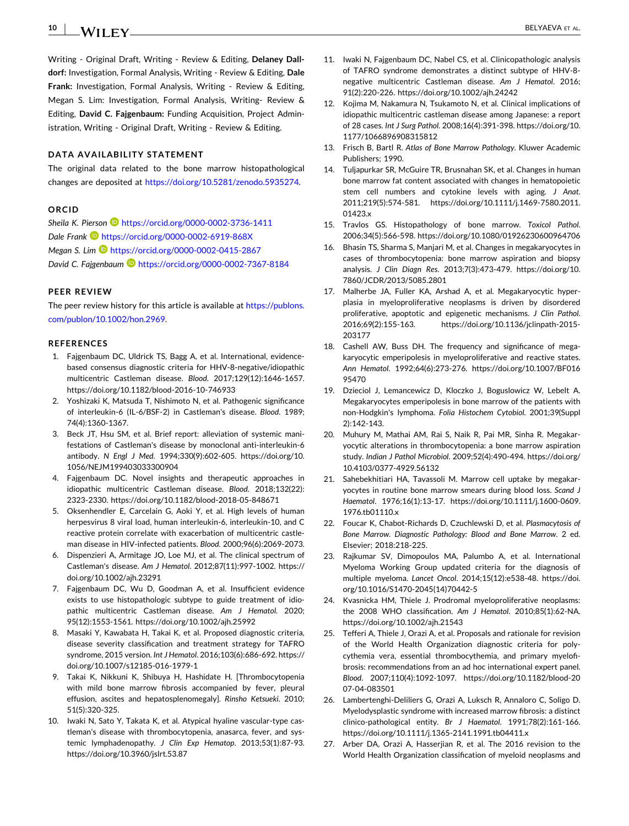#### <span id="page-9-0"></span>**10**  $-$  Belyaeva et al.  $\blacksquare$  Belyaeva et al.  $\blacksquare$

Writing ‐ Original Draft, Writing ‐ Review & Editing, **Delaney Dalldorf:** Investigation, Formal Analysis, Writing ‐ Review & Editing, **Dale Frank:** Investigation, Formal Analysis, Writing ‐ Review & Editing, Megan S. Lim: Investigation, Formal Analysis, Writing‐ Review & Editing, **David C. Fajgenbaum:** Funding Acquisition, Project Administration, Writing ‐ Original Draft, Writing ‐ Review & Editing.

### **DATA AVAILABILITY STATEMENT**

The original data related to the bone marrow histopathological changes are deposited at <https://doi.org/10.5281/zenodo.5935274>.

#### **ORCID**

*Sheila K. Pierson* <https://orcid.org/0000-0002-3736-1411> *Dale Frank* <https://orcid.org/0000-0002-6919-868X> *Megan S. Lim* <https://orcid.org/0000-0002-0415-2867> *David C. Fajgenbaum* <https://orcid.org/0000-0002-7367-8184>

#### **PEER REVIEW**

The peer review history for this article is available at [https://publons.](https://publons.com/publon/10.1002/hon.2969) [com/publon/10.1002/hon.2969](https://publons.com/publon/10.1002/hon.2969).

#### **REFERENCES**

- 1. Fajgenbaum DC, Uldrick TS, Bagg A, et al. International, evidence‐ based consensus diagnostic criteria for HHV‐8‐negative/idiopathic multicentric Castleman disease. *Blood*. 2017;129(12):1646‐1657. [https://doi.org/10.1182/blood](https://doi.org/10.1182/blood-2016-10-746933)‐2016‐10‐746933
- 2. Yoshizaki K, Matsuda T, Nishimoto N, et al. Pathogenic significance of interleukin‐6 (IL‐6/BSF‐2) in Castleman's disease. *Blood*. 1989; 74(4):1360‐1367.
- 3. Beck JT, Hsu SM, et al. Brief report: alleviation of systemic manifestations of Castleman's disease by monoclonal anti‐interleukin‐6 antibody. *N Engl J Med*. 1994;330(9):602‐605. [https://doi.org/10.](https://doi.org/10.1056/NEJM199403033300904) [1056/NEJM199403033300904](https://doi.org/10.1056/NEJM199403033300904)
- 4. Fajgenbaum DC. Novel insights and therapeutic approaches in idiopathic multicentric Castleman disease. *Blood*. 2018;132(22): 2323‐2330. [https://doi.org/10.1182/blood](https://doi.org/10.1182/blood-2018-05-848671)‐2018‐05‐848671
- 5. Oksenhendler E, Carcelain G, Aoki Y, et al. High levels of human herpesvirus 8 viral load, human interleukin‐6, interleukin‐10, and C reactive protein correlate with exacerbation of multicentric castleman disease in HIV‐infected patients. *Blood*. 2000;96(6):2069‐2073.
- Dispenzieri A, Armitage JO, Loe MJ, et al. The clinical spectrum of Castleman's disease. *Am J Hematol*. 2012;87(11):997‐1002. [https://](https://doi.org/10.1002/ajh.23291) [doi.org/10.1002/ajh.23291](https://doi.org/10.1002/ajh.23291)
- 7. Fajgenbaum DC, Wu D, Goodman A, et al. Insufficient evidence exists to use histopathologic subtype to guide treatment of idiopathic multicentric Castleman disease. *Am J Hematol*. 2020; 95(12):1553‐1561. <https://doi.org/10.1002/ajh.25992>
- 8. Masaki Y, Kawabata H, Takai K, et al. Proposed diagnostic criteria, disease severity classification and treatment strategy for TAFRO syndrome, 2015 version. *Int J Hematol*. 2016;103(6):686‐692. [https://](https://doi.org/10.1007/s12185-016-1979-1) [doi.org/10.1007/s12185](https://doi.org/10.1007/s12185-016-1979-1)‐016‐1979‐1
- 9. Takai K, Nikkuni K, Shibuya H, Hashidate H. [Thrombocytopenia with mild bone marrow fibrosis accompanied by fever, pleural effusion, ascites and hepatosplenomegaly]. *Rinsho Ketsueki*. 2010; 51(5):320‐325.
- 10. Iwaki N, Sato Y, Takata K, et al. Atypical hyaline vascular‐type castleman's disease with thrombocytopenia, anasarca, fever, and systemic lymphadenopathy. *J Clin Exp Hematop*. 2013;53(1):87‐93. <https://doi.org/10.3960/jslrt.53.87>
- 11. Iwaki N, Fajgenbaum DC, Nabel CS, et al. Clinicopathologic analysis of TAFRO syndrome demonstrates a distinct subtype of HHV‐8‐ negative multicentric Castleman disease. *Am J Hematol*. 2016; 91(2):220‐226. <https://doi.org/10.1002/ajh.24242>
- 12. Kojima M, Nakamura N, Tsukamoto N, et al. Clinical implications of idiopathic multicentric castleman disease among Japanese: a report of 28 cases. *Int J Surg Pathol*. 2008;16(4):391‐398. [https://doi.org/10.](https://doi.org/10.1177/1066896908315812) [1177/1066896908315812](https://doi.org/10.1177/1066896908315812)
- 13. Frisch B, Bartl R. *Atlas of Bone Marrow Pathology*. Kluwer Academic Publishers; 1990.
- 14. Tuljapurkar SR, McGuire TR, Brusnahan SK, et al. Changes in human bone marrow fat content associated with changes in hematopoietic stem cell numbers and cytokine levels with aging. *J Anat*. 2011;219(5):574‐581. [https://doi.org/10.1111/j.1469](https://doi.org/10.1111/j.1469-7580.2011.01423.x)‐7580.2011. [01423.x](https://doi.org/10.1111/j.1469-7580.2011.01423.x)
- 15. Travlos GS. Histopathology of bone marrow. *Toxicol Pathol*. 2006;34(5):566‐598. <https://doi.org/10.1080/01926230600964706>
- 16. Bhasin TS, Sharma S, Manjari M, et al. Changes in megakaryocytes in cases of thrombocytopenia: bone marrow aspiration and biopsy analysis. *J Clin Diagn Res*. 2013;7(3):473‐479. [https://doi.org/10.](https://doi.org/10.7860/JCDR/2013/5085.2801) [7860/JCDR/2013/5085.2801](https://doi.org/10.7860/JCDR/2013/5085.2801)
- 17. Malherbe JA, Fuller KA, Arshad A, et al. Megakaryocytic hyperplasia in myeloproliferative neoplasms is driven by disordered proliferative, apoptotic and epigenetic mechanisms. *J Clin Pathol*. 2016;69(2):155‐163. [https://doi.org/10.1136/jclinpath](https://doi.org/10.1136/jclinpath-2015-203177)‐2015‐ [203177](https://doi.org/10.1136/jclinpath-2015-203177)
- 18. Cashell AW, Buss DH. The frequency and significance of megakaryocytic emperipolesis in myeloproliferative and reactive states. *Ann Hematol*. 1992;64(6):273‐276. [https://doi.org/10.1007/BF016](https://doi.org/10.1007/BF01695470) [95470](https://doi.org/10.1007/BF01695470)
- 19. Dzieciol J, Lemancewicz D, Kloczko J, Boguslowicz W, Lebelt A. Megakaryocytes emperipolesis in bone marrow of the patients with non‐Hodgkin's lymphoma. *Folia Histochem Cytobiol*. 2001;39(Suppl 2):142‐143.
- 20. Muhury M, Mathai AM, Rai S, Naik R, Pai MR, Sinha R. Megakaryocytic alterations in thrombocytopenia: a bone marrow aspiration study. *Indian J Pathol Microbiol*. 2009;52(4):490‐494. [https://doi.org/](https://doi.org/10.4103/0377-4929.56132) [10.4103/0377](https://doi.org/10.4103/0377-4929.56132)‐4929.56132
- 21. Sahebekhitiari HA, Tavassoli M. Marrow cell uptake by megakaryocytes in routine bone marrow smears during blood loss. *Scand J Haematol*. 1976;16(1):13‐17. [https://doi.org/10.1111/j.1600](https://doi.org/10.1111/j.1600-0609.1976.tb01110.x)‐0609. [1976.tb01110.x](https://doi.org/10.1111/j.1600-0609.1976.tb01110.x)
- 22. Foucar K, Chabot‐Richards D, Czuchlewski D, et al. *Plasmacytosis of Bone Marrow. Diagnostic Pathology: Blood and Bone Marrow*. 2 ed. Elsevier; 2018:218‐225.
- 23. Rajkumar SV, Dimopoulos MA, Palumbo A, et al. International Myeloma Working Group updated criteria for the diagnosis of multiple myeloma. *Lancet Oncol*. 2014;15(12):e538‐48. [https://doi.](https://doi.org/10.1016/S1470-2045(14)70442-5) [org/10.1016/S1470](https://doi.org/10.1016/S1470-2045(14)70442-5)‐2045(14)70442‐5
- 24. Kvasnicka HM, Thiele J. Prodromal myeloproliferative neoplasms: the 2008 WHO classification. *Am J Hematol*. 2010;85(1):62‐NA. <https://doi.org/10.1002/ajh.21543>
- 25. Tefferi A, Thiele J, Orazi A, et al. Proposals and rationale for revision of the World Health Organization diagnostic criteria for polycythemia vera, essential thrombocythemia, and primary myelofibrosis: recommendations from an ad hoc international expert panel. *Blood*. 2007;110(4):1092‐1097. [https://doi.org/10.1182/blood](https://doi.org/10.1182/blood-2007-04-083501)‐20 07‐04‐[083501](https://doi.org/10.1182/blood-2007-04-083501)
- 26. Lambertenghi‐Deliliers G, Orazi A, Luksch R, Annaloro C, Soligo D. Myelodysplastic syndrome with increased marrow fibrosis: a distinct clinico‐pathological entity. *Br J Haematol*. 1991;78(2):161‐166. [https://doi.org/10.1111/j.1365](https://doi.org/10.1111/j.1365-2141.1991.tb04411.x)‐2141.1991.tb04411.x
- 27. Arber DA, Orazi A, Hasserjian R, et al. The 2016 revision to the World Health Organization classification of myeloid neoplasms and